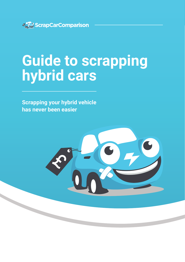

# **Guide to scrapping hybrid cars**

**Scrapping your hybrid vehicle has never been easier**

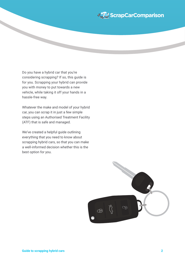

Do you have a hybrid car that you're considering scrapping? If so, this guide is for you. Scrapping your hybrid can provide you with money to put towards a new vehicle, while taking it off your hands in a hassle-free way.

Whatever the make and model of your hybrid car, you can scrap it in just a few simple steps using an Authorised Treatment Facility (ATF) that is safe and managed.

We've created a helpful guide outlining everything that you need to know about scrapping hybrid cars, so that you can make a well-informed decision whether this is the best option for you.

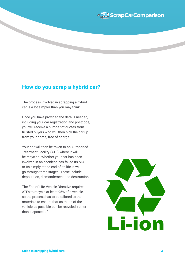

### **How do you scrap a hybrid car?**

The process involved in scrapping a hybrid car is a lot simpler than you may think.

Once you have provided the details needed, including your car registration and postcode, you will receive a number of quotes from trusted buyers who will then pick the car up from your home, free of charge.

Your car will then be taken to an Authorised Treatment Facility (ATF) where it will be recycled. Whether your car has been involved in an accident, has failed its MOT or its simply at the end of its life, it will go through three stages. These include depollution, dismantlement and destruction.

The End of Life Vehicle Directive requires ATFs to recycle at least 95% of a vehicle, so the process has to be tailored to the materials to ensure that as much of the vehicle as possible can be recycled, rather than disposed of.

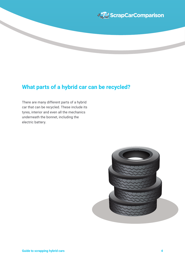

## **What parts of a hybrid car can be recycled?**

There are many different parts of a hybrid car that can be recycled. These include its tyres, interior and even all the mechanics underneath the bonnet, including the electric battery.

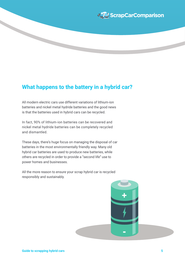

## **What happens to the battery in a hybrid car?**

All modern electric cars use different variations of lithium-ion batteries and nickel metal hydride batteries and the good news is that the batteries used in hybrid cars can be recycled.

In fact, 90% of lithium-ion batteries can be recovered and nickel metal hydride batteries can be completely recycled and dismantled.

These days, there's huge focus on managing the disposal of car batteries in the most environmentally friendly way. Many old hybrid car batteries are used to produce new batteries, while others are recycled in order to provide a "second life" use to power homes and businesses.

All the more reason to ensure your scrap hybrid car is recycled responsibly and sustainably.

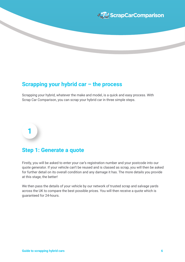

### **Scrapping your hybrid car – the process**

Scrapping your hybrid, whatever the make and model, is a quick and easy process. With Scrap Car Comparison, you can scrap your hybrid car in three simple steps.

### **Step 1: Generate a quote**

**1**

Firstly, you will be asked to enter your car's registration number and your postcode into our quote generator. If your vehicle can't be reused and is classed as scrap, you will then be asked for further detail on its overall condition and any damage it has. The more details you provide at this stage, the better!

We then pass the details of your vehicle by our network of trusted scrap and salvage yards across the UK to compare the best possible prices. You will then receive a quote which is guaranteed for 24-hours.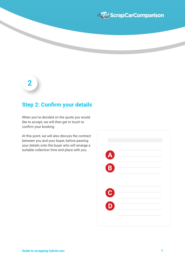

# **2**

### **Step 2: Confirm your details**

When you've decided on the quote you would like to accept, we will then get in touch to confirm your booking.

At this point, we will also discuss the contract between you and your buyer, before passing your details onto the buyer who will arrange a suitable collection time and place with you.

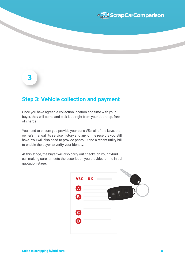

# **3**

### **Step 3: Vehicle collection and payment**

Once you have agreed a collection location and time with your buyer, they will come and pick it up right from your doorstep, free of charge.

You need to ensure you provide your car's V5c, all of the keys, the owner's manual, its service history and any of the receipts you still have. You will also need to provide photo ID and a recent utility bill to enable the buyer to verify your identity.

At this stage, the buyer will also carry out checks on your hybrid car, making sure it meets the description you provided at the initial quotation stage.

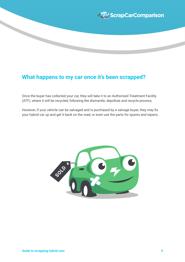

# **What happens to my car once it's been scrapped?**

Once the buyer has collected your car, they will take it to an Authorised Treatment Facility (ATF), where it will be recycled, following the dismantle, depollute and recycle process.

However, if your vehicle can be salvaged and is purchased by a salvage buyer, they may fix your hybrid car up and get it back on the road, or even use the parts for spares and repairs.

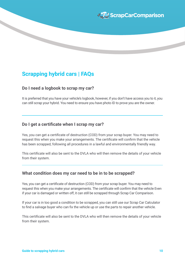

## **Scrapping hybrid cars | FAQs**

### **Do I need a logbook to scrap my car?**

It is preferred that you have your vehicle's logbook, however, if you don't have access you to it, you can still scrap your hybrid. You need to ensure you have photo ID to prove you are the owner.

### **Do I get a certificate when I scrap my car?**

Yes, you can get a certificate of destruction (COD) from your scrap buyer. You may need to request this when you make your arrangements. The certificate will confirm that the vehicle has been scrapped, following all procedures in a lawful and environmentally friendly way.

This certificate will also be sent to the DVLA who will then remove the details of your vehicle from their system.

### **What condition does my car need to be in to be scrapped?**

Yes, you can get a certificate of destruction (COD) from your scrap buyer. You may need to request this when you make your arrangements. The certificate will confirm that the vehicle Even if your car is damaged or written off, it can still be scrapped through Scrap Car Comparison.

If your car is in too good a condition to be scrapped, you can still use our Scrap Car Calculator to find a salvage buyer who can fix the vehicle up or use the parts to repair another vehicle.

This certificate will also be sent to the DVLA who will then remove the details of your vehicle from their system.